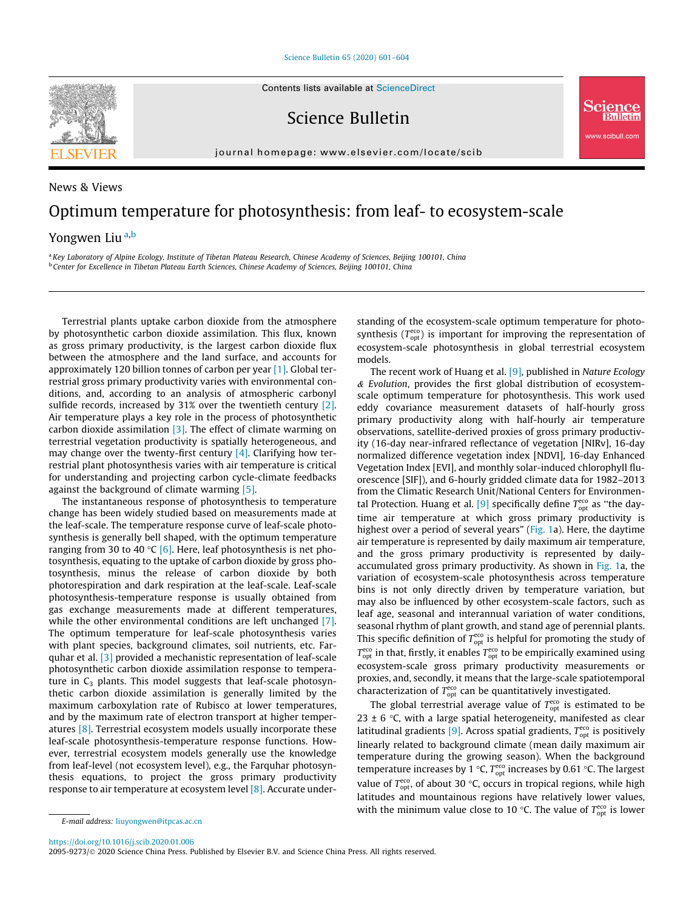[Science Bulletin 65 \(2020\) 601–604](https://doi.org/10.1016/j.scib.2020.01.006)



Science Bulletin

journal homepage: [www.elsevier.com/locate/scib](http://www.elsevier.com/locate/scib)

## News & Views Optimum temperature for photosynthesis: from leaf- to ecosystem-scale Yongwen Liu<sup>a,b</sup>

a Key Laboratory of Alpine Ecology, Institute of Tibetan Plateau Research, Chinese Academy of Sciences, Beijing 100101, China <sup>b</sup> Center for Excellence in Tibetan Plateau Earth Sciences, Chinese Academy of Sciences, Beijing 100101, China

Terrestrial plants uptake carbon dioxide from the atmosphere by photosynthetic carbon dioxide assimilation. This flux, known as gross primary productivity, is the largest carbon dioxide flux between the atmosphere and the land surface, and accounts for approximately 120 billion tonnes of carbon per year [\[1\]](#page-2-0). Global terrestrial gross primary productivity varies with environmental conditions, and, according to an analysis of atmospheric carbonyl sulfide records, increased by 31% over the twentieth century [\[2\].](#page-2-0) Air temperature plays a key role in the process of photosynthetic carbon dioxide assimilation  $[3]$ . The effect of climate warming on terrestrial vegetation productivity is spatially heterogeneous, and may change over the twenty-first century  $[4]$ . Clarifying how terrestrial plant photosynthesis varies with air temperature is critical for understanding and projecting carbon cycle-climate feedbacks against the background of climate warming [\[5\]](#page-3-0).

The instantaneous response of photosynthesis to temperature change has been widely studied based on measurements made at the leaf-scale. The temperature response curve of leaf-scale photosynthesis is generally bell shaped, with the optimum temperature ranging from 30 to 40 °C [\[6\].](#page-3-0) Here, leaf photosynthesis is net photosynthesis, equating to the uptake of carbon dioxide by gross photosynthesis, minus the release of carbon dioxide by both photorespiration and dark respiration at the leaf-scale. Leaf-scale photosynthesis-temperature response is usually obtained from gas exchange measurements made at different temperatures, while the other environmental conditions are left unchanged [\[7\].](#page-3-0) The optimum temperature for leaf-scale photosynthesis varies with plant species, background climates, soil nutrients, etc. Farquhar et al. [\[3\]](#page-2-0) provided a mechanistic representation of leaf-scale photosynthetic carbon dioxide assimilation response to temperature in  $C_3$  plants. This model suggests that leaf-scale photosynthetic carbon dioxide assimilation is generally limited by the maximum carboxylation rate of Rubisco at lower temperatures, and by the maximum rate of electron transport at higher temperatures [\[8\]](#page-3-0). Terrestrial ecosystem models usually incorporate these leaf-scale photosynthesis-temperature response functions. However, terrestrial ecosystem models generally use the knowledge from leaf-level (not ecosystem level), e.g., the Farquhar photosynthesis equations, to project the gross primary productivity response to air temperature at ecosystem level [\[8\]](#page-3-0). Accurate understanding of the ecosystem-scale optimum temperature for photosynthesis ( $T_{\text{opt}}^{\text{eco}}$ ) is important for improving the representation of ecosystem-scale photosynthesis in global terrestrial ecosystem models.

w.scibull.com

The recent work of Huang et al. <a>[9]</a>, published in Nature Ecology  $&$  Evolution, provides the first global distribution of ecosystemscale optimum temperature for photosynthesis. This work used eddy covariance measurement datasets of half-hourly gross primary productivity along with half-hourly air temperature observations, satellite-derived proxies of gross primary productivity (16-day near-infrared reflectance of vegetation [NIRv], 16-day normalized difference vegetation index [NDVI], 16-day Enhanced Vegetation Index [EVI], and monthly solar-induced chlorophyll fluorescence [SIF]), and 6-hourly gridded climate data for 1982–2013 from the Climatic Research Unit/National Centers for Environmen-tal Protection. Huang et al. [\[9\]](#page-3-0) specifically define  $T_{\text{opt}}^{\text{eco}}$  as "the daytime air temperature at which gross primary productivity is highest over a period of several years" ([Fig. 1a](#page-1-0)). Here, the daytime air temperature is represented by daily maximum air temperature, and the gross primary productivity is represented by dailyaccumulated gross primary productivity. As shown in [Fig. 1](#page-1-0)a, the variation of ecosystem-scale photosynthesis across temperature bins is not only directly driven by temperature variation, but may also be influenced by other ecosystem-scale factors, such as leaf age, seasonal and interannual variation of water conditions, seasonal rhythm of plant growth, and stand age of perennial plants. This specific definition of  $T_{\mathrm{opt}}^{\mathrm{eco}}$  is helpful for promoting the study of  $T_{\rm opt}^{\rm eco}$  in that, firstly, it enables  $T_{\rm opt}^{\rm eco}$  to be empirically examined using ecosystem-scale gross primary productivity measurements or proxies, and, secondly, it means that the large-scale spatiotemporal characterization of  $T_{\rm opt}^{\rm eco}$  can be quantitatively investigated.

The global terrestrial average value of  $T_{\rm opt}^{\rm eco}$  is estimated to be 23  $\pm$  6 °C, with a large spatial heterogeneity, manifested as clear latitudinal gradients  $[9]$ . Across spatial gradients,  $T_{\text{opt}}^{\text{eco}}$  is positively linearly related to background climate (mean daily maximum air temperature during the growing season). When the background temperature increases by 1 °C,  $T_{\text{opt}}^{\text{eco}}$  increases by 0.61 °C. The largest value of  $T_{\text{opt}}^{\text{eco}}$ , of about 30 °C, occurs in tropical regions, while high latitudes and mountainous regions have relatively lower values, with the minimum value close to 10 °C. The value of  $T_{\text{opt}}^{\text{eco}}$  is lower

<https://doi.org/10.1016/j.scib.2020.01.006>

E-mail address: [liuyongwen@itpcas.ac.cn](mailto:liuyongwen@itpcas.ac.cn)

<sup>2095-9273/@ 2020</sup> Science China Press. Published by Elsevier B.V. and Science China Press. All rights reserved.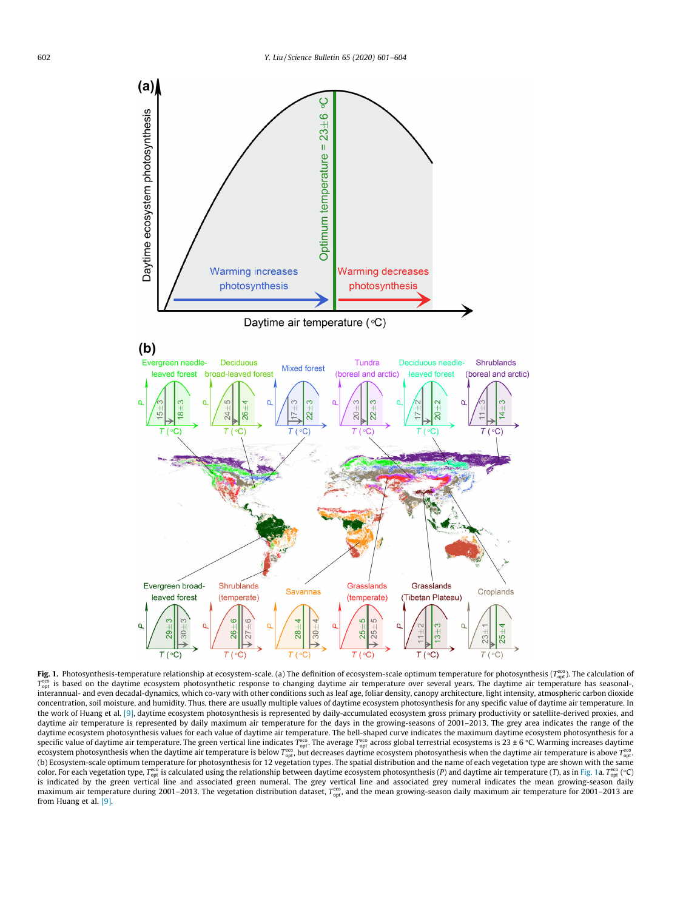<span id="page-1-0"></span>

**Fig. 1.** Photosynthesis-temperature relationship at ecosystem-scale. (a) The definition of ecosystem-scale optimum temperature for photosynthesis (T $_{\rm opt}^{\rm cor}$ ). The calculation of T<sub>ept</sub> is based on the daytime ecosystem photosynthetic response to changing daytime air temperature over several years. The daytime air temperature has seasonalinterannual- and even decadal-dynamics, which co-vary with other conditions such as leaf age, foliar density, canopy architecture, light intensity, atmospheric carbon dioxide concentration, soil moisture, and humidity. Thus, there are usually multiple values of daytime ecosystem photosynthesis for any specific value of daytime air temperature. In the work of Huang et al. [\[9\]](#page-3-0), daytime ecosystem photosynthesis is represented by daily-accumulated ecosystem gross primary productivity or satellite-derived proxies, and daytime air temperature is represented by daily maximum air temperature for the days in the growing-seasons of 2001–2013. The grey area indicates the range of the daytime ecosystem photosynthesis values for each value of daytime air temperature. The bell-shaped curve indicates the maximum daytime ecosystem photosynthesis for a specific value of daytime air temperature. The green vertical line indicates  $T_{\rm opt}^{\rm co}$ . The average  $T_{\rm opt}^{\rm co}$  across global terrestrial ecosystems is 23 ± 6 °C. Warming increases daytime ecosystem photosynthesis when the daytime air temperature is below  $T_{\rm opt}^{\rm{ceo}}$ , but decreases daytime ecosystem photosynthesis when the daytime air temperature is above  $T_{\rm opt}^{\rm{eco}}$ (b) Ecosystem-scale optimum temperature for photosynthesis for 12 vegetation types. The spatial distribution and the name of each vegetation type are shown with the same color. For each vegetation type, T $_{\rm opt}^{\rm eco}$  is calculated using the relationship between daytime ecosystem photosynthesis (P) and daytime air temperature (T), as in Fig. 1a. T $_{\rm opt}^{\rm eco}$  (°C) is indicated by the green vertical line and associated green numeral. The grey vertical line and associated grey numeral indicates the mean growing-season daily maximum air temperature during 2001–2013. The vegetation distribution dataset,  $T_{\rm opt}^{\rm cco}$ , and the mean growing-season daily maximum air temperature for 2001–2013 are from Huang et al. [\[9\].](#page-3-0)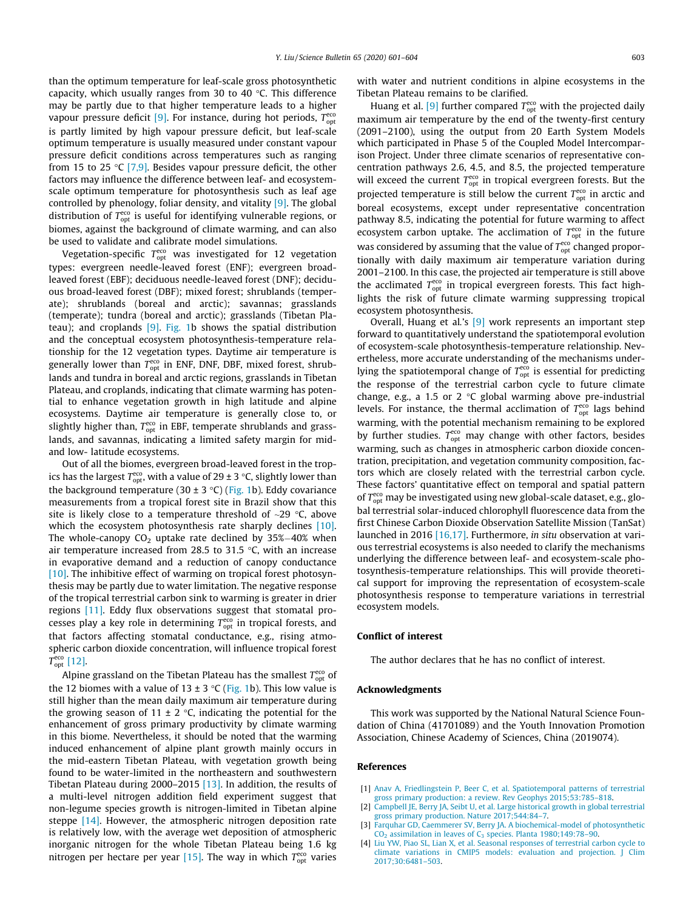<span id="page-2-0"></span>than the optimum temperature for leaf-scale gross photosynthetic capacity, which usually ranges from 30 to 40  $\degree$ C. This difference may be partly due to that higher temperature leads to a higher vapour pressure deficit [\[9\]](#page-3-0). For instance, during hot periods,  $T_{\text{opt}}^{\text{eco}}$ is partly limited by high vapour pressure deficit, but leaf-scale optimum temperature is usually measured under constant vapour pressure deficit conditions across temperatures such as ranging from 15 to 25 °C [\[7,9\]](#page-3-0). Besides vapour pressure deficit, the other factors may influence the difference between leaf- and ecosystemscale optimum temperature for photosynthesis such as leaf age controlled by phenology, foliar density, and vitality [\[9\].](#page-3-0) The global distribution of  $T^{\text{eco}}_{\text{opt}}$  is useful for identifying vulnerable regions, or biomes, against the background of climate warming, and can also be used to validate and calibrate model simulations.

Vegetation-specific  $T_{\rm opt}^{\rm eco}$  was investigated for 12 vegetation types: evergreen needle-leaved forest (ENF); evergreen broadleaved forest (EBF); deciduous needle-leaved forest (DNF); deciduous broad-leaved forest (DBF); mixed forest; shrublands (temperate); shrublands (boreal and arctic); savannas; grasslands (temperate); tundra (boreal and arctic); grasslands (Tibetan Plateau); and croplands [\[9\].](#page-3-0) [Fig. 1b](#page-1-0) shows the spatial distribution and the conceptual ecosystem photosynthesis-temperature relationship for the 12 vegetation types. Daytime air temperature is generally lower than  $T_{\rm opt}^{\rm eco}$  in ENF, DNF, DBF, mixed forest, shrublands and tundra in boreal and arctic regions, grasslands in Tibetan Plateau, and croplands, indicating that climate warming has potential to enhance vegetation growth in high latitude and alpine ecosystems. Daytime air temperature is generally close to, or slightly higher than,  $T_{\rm opt}^{\rm eco}$  in EBF, temperate shrublands and grasslands, and savannas, indicating a limited safety margin for midand low- latitude ecosystems.

Out of all the biomes, evergreen broad-leaved forest in the tropics has the largest  $T_{\mathrm{opt}}^{\mathrm{eco}},$  with a value of 29 ± 3 °C, slightly lower than the background temperature (30 ± 3 °C) ([Fig. 1b](#page-1-0)). Eddy covariance measurements from a tropical forest site in Brazil show that this site is likely close to a temperature threshold of  $\sim$ 29 °C, above which the ecosystem photosynthesis rate sharply declines [\[10\].](#page-3-0) The whole-canopy  $CO<sub>2</sub>$  uptake rate declined by 35%-40% when air temperature increased from 28.5 to 31.5  $\degree$ C, with an increase in evaporative demand and a reduction of canopy conductance  $[10]$ . The inhibitive effect of warming on tropical forest photosynthesis may be partly due to water limitation. The negative response of the tropical terrestrial carbon sink to warming is greater in drier regions [\[11\].](#page-3-0) Eddy flux observations suggest that stomatal processes play a key role in determining  $T_{\rm opt}^{\rm eco}$  in tropical forests, and that factors affecting stomatal conductance, e.g., rising atmospheric carbon dioxide concentration, will influence tropical forest  $T_{\text{opt}}^{\text{eco}}$  [\[12\]](#page-3-0).

Alpine grassland on the Tibetan Plateau has the smallest  $T_{\mathrm{opt}}^{\mathrm{eco}}$  of the 12 biomes with a value of 13  $\pm$  3 °C ([Fig. 1b](#page-1-0)). This low value is still higher than the mean daily maximum air temperature during the growing season of 11  $\pm$  2 °C, indicating the potential for the enhancement of gross primary productivity by climate warming in this biome. Nevertheless, it should be noted that the warming induced enhancement of alpine plant growth mainly occurs in the mid-eastern Tibetan Plateau, with vegetation growth being found to be water-limited in the northeastern and southwestern Tibetan Plateau during 2000–2015 [\[13\]](#page-3-0). In addition, the results of a multi-level nitrogen addition field experiment suggest that non-legume species growth is nitrogen-limited in Tibetan alpine steppe [\[14\].](#page-3-0) However, the atmospheric nitrogen deposition rate is relatively low, with the average wet deposition of atmospheric inorganic nitrogen for the whole Tibetan Plateau being 1.6 kg nitrogen per hectare per year [\[15\].](#page-3-0) The way in which  $T_{\rm opt}^{\rm eco}$  varies

with water and nutrient conditions in alpine ecosystems in the Tibetan Plateau remains to be clarified.

Huang et al. [\[9\]](#page-3-0) further compared  $T_{\rm opt}^{\rm eco}$  with the projected daily maximum air temperature by the end of the twenty-first century (2091–2100), using the output from 20 Earth System Models which participated in Phase 5 of the Coupled Model Intercomparison Project. Under three climate scenarios of representative concentration pathways 2.6, 4.5, and 8.5, the projected temperature will exceed the current  $T_{\text{opt}}^{\text{eco}}$  in tropical evergreen forests. But the projected temperature is still below the current  $T^{\text{eco}}_{\text{opt}}$  in arctic and boreal ecosystems, except under representative concentration pathway 8.5, indicating the potential for future warming to affect ecosystem carbon uptake. The acclimation of  $T_{\text{opt}}^{\text{eco}}$  in the future was considered by assuming that the value of  $T_{\mathrm{opt}}^{\mathrm{eco}}$  changed proportionally with daily maximum air temperature variation during 2001–2100. In this case, the projected air temperature is still above the acclimated  $T_{\text{opt}}^{\text{eco}}$  in tropical evergreen forests. This fact highlights the risk of future climate warming suppressing tropical ecosystem photosynthesis.

Overall, Huang et al.'s [\[9\]](#page-3-0) work represents an important step forward to quantitatively understand the spatiotemporal evolution of ecosystem-scale photosynthesis-temperature relationship. Nevertheless, more accurate understanding of the mechanisms underlying the spatiotemporal change of  $T^{eco}_{opt}$  is essential for predicting the response of the terrestrial carbon cycle to future climate change, e.g., a 1.5 or 2  $\degree$ C global warming above pre-industrial levels. For instance, the thermal acclimation of  $T_{\text{opt}}^{\text{eco}}$  lags behind warming, with the potential mechanism remaining to be explored by further studies.  $T_{\text{opt}}^{\text{eco}}$  may change with other factors, besides warming, such as changes in atmospheric carbon dioxide concentration, precipitation, and vegetation community composition, factors which are closely related with the terrestrial carbon cycle. These factors' quantitative effect on temporal and spatial pattern of  $T_{\rm opt}^{\rm eco}$  may be investigated using new global-scale dataset, e.g., global terrestrial solar-induced chlorophyll fluorescence data from the first Chinese Carbon Dioxide Observation Satellite Mission (TanSat) launched in 2016 [\[16,17\].](#page-3-0) Furthermore, in situ observation at various terrestrial ecosystems is also needed to clarify the mechanisms underlying the difference between leaf- and ecosystem-scale photosynthesis-temperature relationships. This will provide theoretical support for improving the representation of ecosystem-scale photosynthesis response to temperature variations in terrestrial ecosystem models.

## Conflict of interest

The author declares that he has no conflict of interest.

## Acknowledgments

This work was supported by the National Natural Science Foundation of China (41701089) and the Youth Innovation Promotion Association, Chinese Academy of Sciences, China (2019074).

## References

- [1] [Anav A, Friedlingstein P, Beer C, et al. Spatiotemporal patterns of terrestrial](http://refhub.elsevier.com/S2095-9273(20)30018-9/h0005) [gross primary production: a review. Rev Geophys 2015;53:785–818.](http://refhub.elsevier.com/S2095-9273(20)30018-9/h0005)
- [2] [Campbell JE, Berry JA, Seibt U, et al. Large historical growth in global terrestrial](http://refhub.elsevier.com/S2095-9273(20)30018-9/h0010) [gross primary production. Nature 2017;544:84–7](http://refhub.elsevier.com/S2095-9273(20)30018-9/h0010).
- [3] [Farquhar GD, Caemmerer SV, Berry JA. A biochemical-model of photosynthetic](http://refhub.elsevier.com/S2095-9273(20)30018-9/h0015)  $CO<sub>2</sub>$  assimilation in leaves of  $C<sub>3</sub>$  species. Planta 1980;149:78-90.
- [4] [Liu YW, Piao SL, Lian X, et al. Seasonal responses of terrestrial carbon cycle to](http://refhub.elsevier.com/S2095-9273(20)30018-9/h0020) [climate variations in CMIP5 models: evaluation and projection. J Clim](http://refhub.elsevier.com/S2095-9273(20)30018-9/h0020) [2017;30:6481–503](http://refhub.elsevier.com/S2095-9273(20)30018-9/h0020).